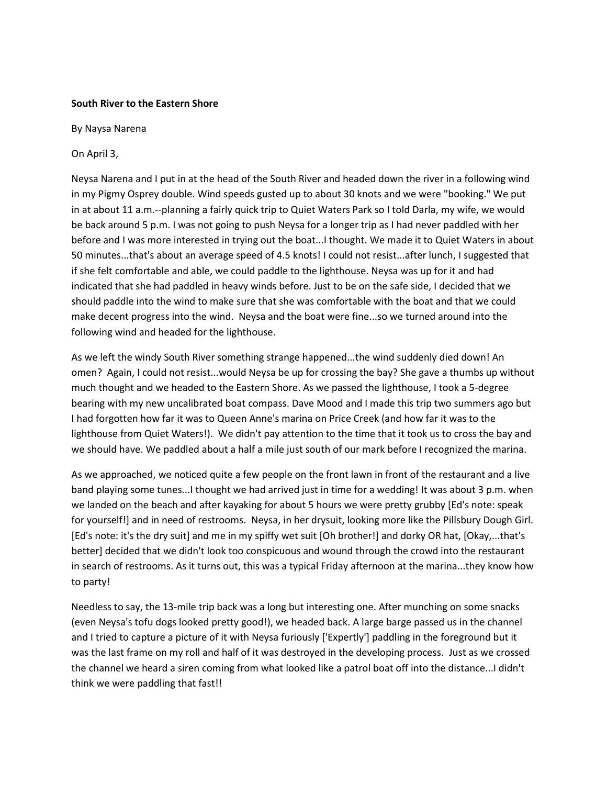## **South River to the Eastern Shore**

By Naysa Narena

On April 3,

Neysa Narena and I put in at the head of the South River and headed down the river in a following wind in my Pigmy Osprey double. Wind speeds gusted up to about 30 knots and we were "booking." We put in at about 11 a.m.--planning a fairly quick trip to Quiet Waters Park so I told Darla, my wife, we would be back around 5 p.m. I was not going to push Neysa for a longer trip as I had never paddled with her before and I was more interested in trying out the boat...I thought. We made it to Quiet Waters in about 50 minutes...that's about an average speed of 4.5 knots! I could not resist...after lunch, I suggested that if she felt comfortable and able, we could paddle to the lighthouse. Neysa was up for it and had indicated that she had paddled in heavy winds before. Just to be on the safe side, I decided that we should paddle into the wind to make sure that she was comfortable with the boat and that we could make decent progress into the wind. Neysa and the boat were fine...so we turned around into the following wind and headed for the lighthouse.

As we left the windy South River something strange happened...the wind suddenly died down! An omen? Again, I could not resist...would Neysa be up for crossing the bay? She gave a thumbs up without much thought and we headed to the Eastern Shore. As we passed the lighthouse, I took a 5-degree bearing with my new uncalibrated boat compass. Dave Mood and I made this trip two summers ago but I had forgotten how far it was to Queen Anne's marina on Price Creek (and how far it was to the lighthouse from Quiet Waters!). We didn't pay attention to the time that it took us to cross the bay and we should have. We paddled about a half a mile just south of our mark before I recognized the marina.

As we approached, we noticed quite a few people on the front lawn in front of the restaurant and a live band playing some tunes...I thought we had arrived just in time for a wedding! It was about 3 p.m. when we landed on the beach and after kayaking for about 5 hours we were pretty grubby [Ed's note: speak for yourself!] and in need of restrooms. Neysa, in her drysuit, looking more like the Pillsbury Dough Girl. [Ed's note: it's the dry suit] and me in my spiffy wet suit [Oh brother!] and dorky OR hat, [Okay,...that's better] decided that we didn't look too conspicuous and wound through the crowd into the restaurant in search of restrooms. As it turns out, this was a typical Friday afternoon at the marina...they know how to party!

Needless to say, the 13-mile trip back was a long but interesting one. After munching on some snacks (even Neysa's tofu dogs looked pretty good!), we headed back. A large barge passed us in the channel and I tried to capture a picture of it with Neysa furiously ['Expertly'] paddling in the foreground but it was the last frame on my roll and half of it was destroyed in the developing process. Just as we crossed the channel we heard a siren coming from what looked like a patrol boat off into the distance...I didn't think we were paddling that fast!!